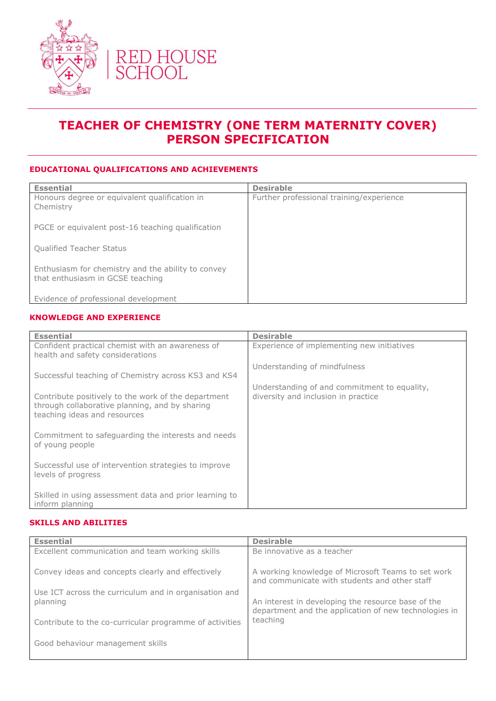

# **TEACHER OF CHEMISTRY (ONE TERM MATERNITY COVER) PERSON SPECIFICATION**

### **EDUCATIONAL QUALIFICATIONS AND ACHIEVEMENTS**

| <b>Essential</b>                                                                       | <b>Desirable</b>                         |
|----------------------------------------------------------------------------------------|------------------------------------------|
| Honours degree or equivalent qualification in<br>Chemistry                             | Further professional training/experience |
| PGCE or equivalent post-16 teaching qualification                                      |                                          |
| <b>Qualified Teacher Status</b>                                                        |                                          |
| Enthusiasm for chemistry and the ability to convey<br>that enthusiasm in GCSE teaching |                                          |
| Evidence of professional development                                                   |                                          |

#### **KNOWLEDGE AND EXPERIENCE**

| <b>Essential</b>                                                                                                                      | <b>Desirable</b>                                                                    |
|---------------------------------------------------------------------------------------------------------------------------------------|-------------------------------------------------------------------------------------|
| Confident practical chemist with an awareness of<br>health and safety considerations                                                  | Experience of implementing new initiatives                                          |
|                                                                                                                                       | Understanding of mindfulness                                                        |
| Successful teaching of Chemistry across KS3 and KS4                                                                                   |                                                                                     |
| Contribute positively to the work of the department<br>through collaborative planning, and by sharing<br>teaching ideas and resources | Understanding of and commitment to equality,<br>diversity and inclusion in practice |
| Commitment to safeguarding the interests and needs<br>of young people                                                                 |                                                                                     |
| Successful use of intervention strategies to improve<br>levels of progress                                                            |                                                                                     |
| Skilled in using assessment data and prior learning to<br>inform planning                                                             |                                                                                     |

#### **SKILLS AND ABILITIES**

| <b>Essential</b>                                                  | <b>Desirable</b>                                                                                    |
|-------------------------------------------------------------------|-----------------------------------------------------------------------------------------------------|
| Excellent communication and team working skills                   | Be innovative as a teacher                                                                          |
| Convey ideas and concepts clearly and effectively                 | A working knowledge of Microsoft Teams to set work<br>and communicate with students and other staff |
| Use ICT across the curriculum and in organisation and<br>planning | An interest in developing the resource base of the                                                  |
| Contribute to the co-curricular programme of activities           | department and the application of new technologies in<br>teaching                                   |
| Good behaviour management skills                                  |                                                                                                     |